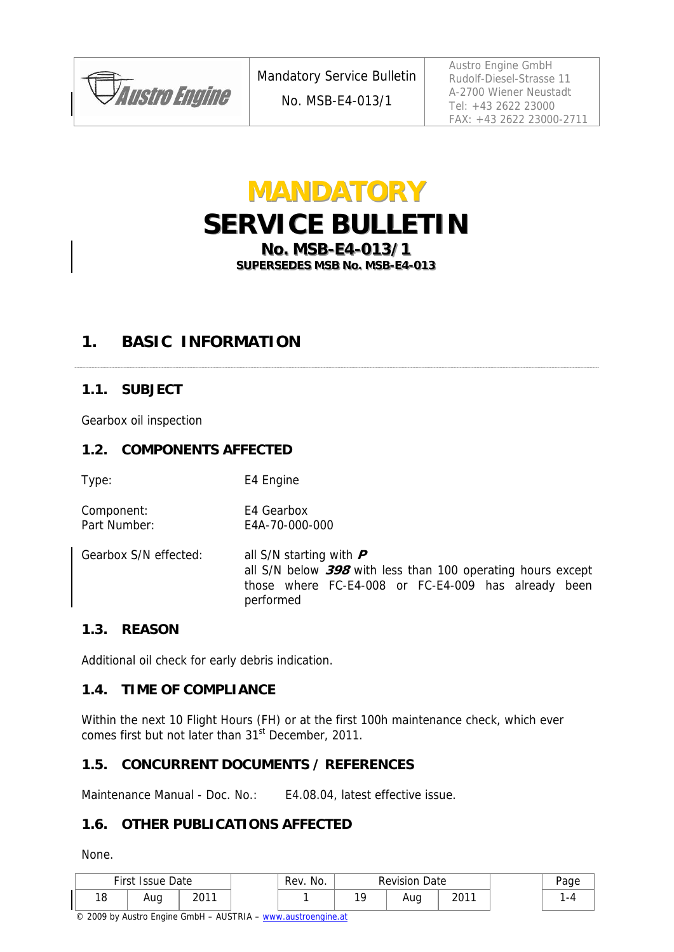

No. MSB-E4-013/1

Austro Engine GmbH Rudolf-Diesel-Strasse 11 A-2700 Wiener Neustadt Tel: +43 2622 23000 FAX: +43 2622 23000-2711

# **MANDATORY SERVICE BULLETIN No. MSB-E4-013/1**

SUPERSEDES MSB No. MSB-E4-013

# **1. BASIC INFORMATION**

#### **1.1. SUBJECT**

Gearbox oil inspection

#### **1.2. COMPONENTS AFFECTED**

Type: E4 Engine

Component: E4 Gearbox Part Number: E4A-70-000-000

Gearbox S/N effected: all S/N starting with **P** all S/N below **398** with less than 100 operating hours except those where FC-E4-008 or FC-E4-009 has already been performed

#### **1.3. REASON**

Additional oil check for early debris indication.

#### **1.4. TIME OF COMPLIANCE**

Within the next 10 Flight Hours (FH) or at the first 100h maintenance check, which ever comes first but not later than 31<sup>st</sup> December, 2011.

#### **1.5. CONCURRENT DOCUMENTS / REFERENCES**

Maintenance Manual - Doc. No.: E4.08.04, latest effective issue.

#### **1.6. OTHER PUBLICATIONS AFFECTED**

None.

| First Issue Date |     | Rev. No.      | <b>Revision Date</b> |     | Page |      |      |
|------------------|-----|---------------|----------------------|-----|------|------|------|
| 18               | Aug | 2011<br>2 U I |                      | 1 C | Aug  | 2011 | $-1$ |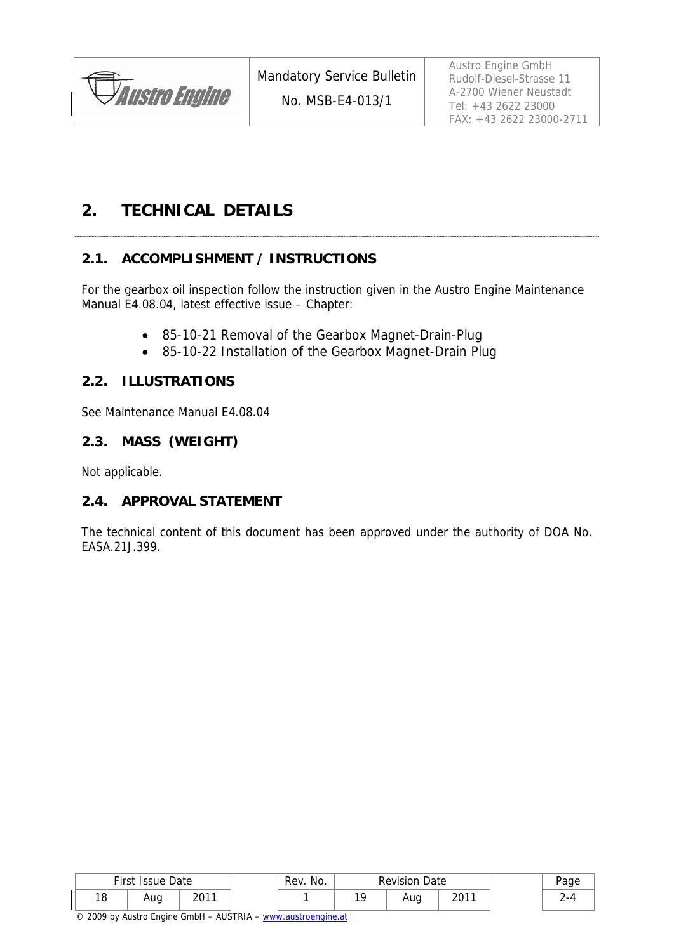

No. MSB-E4-013/1

Austro Engine GmbH Rudolf-Diesel-Strasse 11 A-2700 Wiener Neustadt Tel: +43 2622 23000 FAX: +43 2622 23000-2711

# **2. TECHNICAL DETAILS**

#### **2.1. ACCOMPLISHMENT / INSTRUCTIONS**

For the gearbox oil inspection follow the instruction given in the Austro Engine Maintenance Manual E4.08.04, latest effective issue – Chapter:

- 85-10-21 Removal of the Gearbox Magnet-Drain-Plug
- 85-10-22 Installation of the Gearbox Magnet-Drain Plug

#### **2.2. ILLUSTRATIONS**

See Maintenance Manual E4.08.04

#### **2.3. MASS (WEIGHT)**

Not applicable.

#### **2.4. APPROVAL STATEMENT**

The technical content of this document has been approved under the authority of DOA No. EASA.21J.399.

| First Issue Date |     | Rev. No. | <b>Revision Date</b> |     | Paɑe |      |  |
|------------------|-----|----------|----------------------|-----|------|------|--|
| 10<br>1 O        | Aug | ว∩11     |                      | 1 ∩ | Aug  | 2011 |  |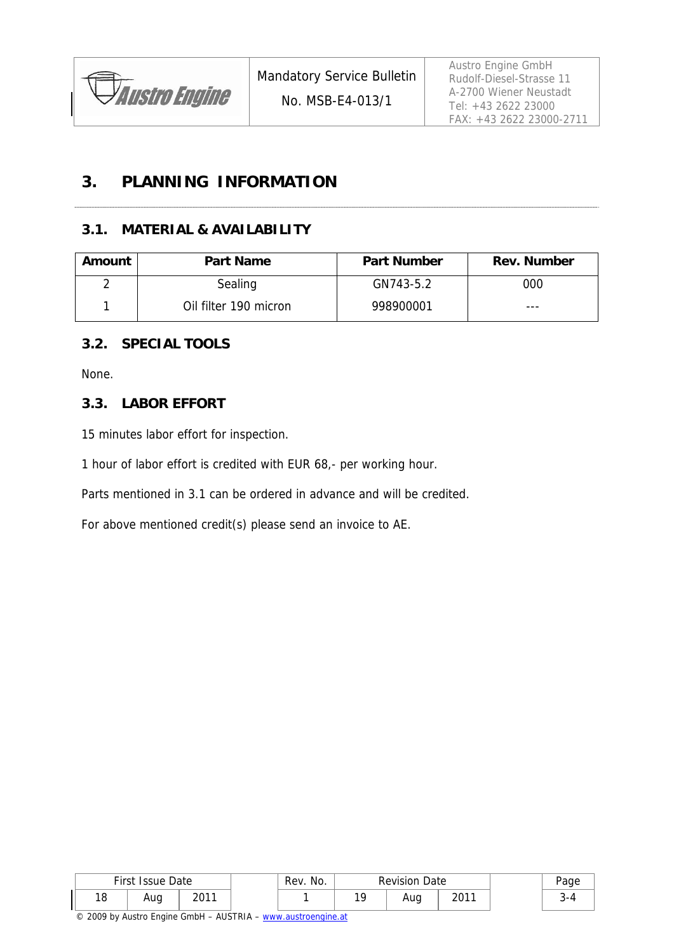

#### No. MSB-E4-013/1

# **3. PLANNING INFORMATION**

#### **3.1. MATERIAL & AVAILABILITY**

| Amount | <b>Part Name</b>      | <b>Part Number</b> | <b>Rev. Number</b> |  |  |
|--------|-----------------------|--------------------|--------------------|--|--|
| ∩      | Sealing               | GN743-5.2          | 000                |  |  |
|        | Oil filter 190 micron | 998900001          | ---                |  |  |

#### **3.2. SPECIAL TOOLS**

None.

#### **3.3. LABOR EFFORT**

15 minutes labor effort for inspection.

1 hour of labor effort is credited with EUR 68,- per working hour.

Parts mentioned in 3.1 can be ordered in advance and will be credited.

For above mentioned credit(s) please send an invoice to AE.

| First Issue Date |     | Rev. No. | <b>Revision Date</b> |     |                 |              |  |
|------------------|-----|----------|----------------------|-----|-----------------|--------------|--|
| 18               | Aug | 2011     |                      | 1 C | $\cdots$<br>Auy | 2011<br>ا U∠ |  |